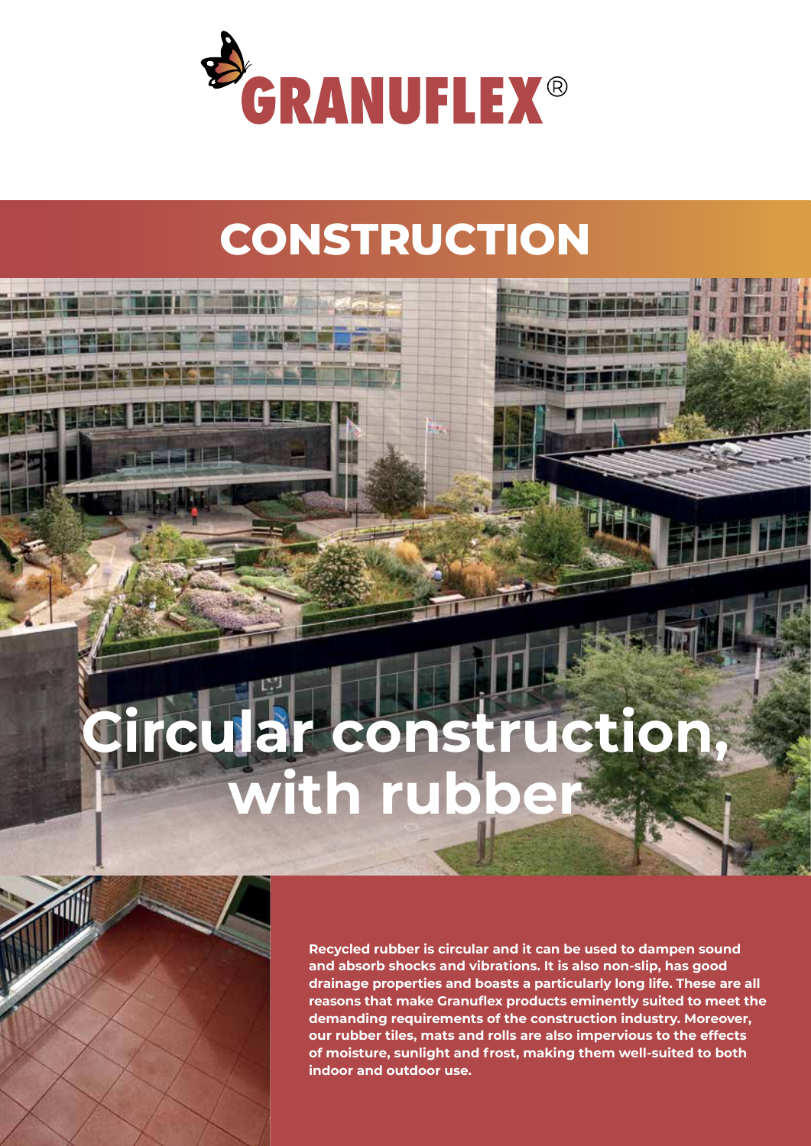

## **CONSTRUCTION**

# **Circular construction, with rubber**



**Recycled rubber is circular and it can be used to dampen sound and absorb shocks and vibrations. It is also non-slip, has good drainage properties and boasts a particularly long life. These are all reasons that make Granuflex products eminently suited to meet the demanding requirements of the construction industry. Moreover, our rubber tiles, mats and rolls are also impervious to the effects of moisture, sunlight and frost, making them well-suited to both indoor and outdoor use.**